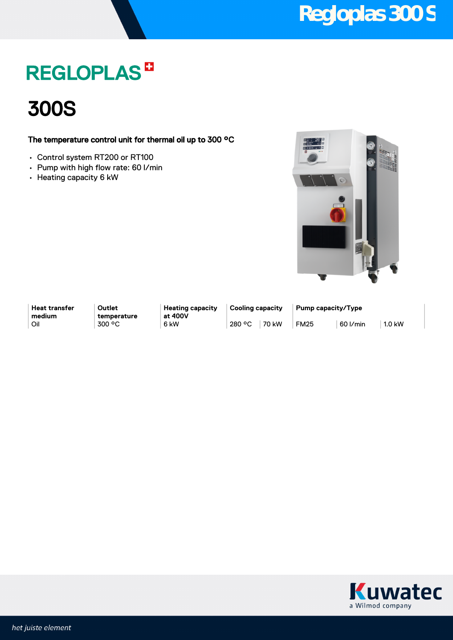### **REGLOPLAS<sup>B</sup>**

300S

### The temperature control unit for thermal oil up to 300 °C

- Control system RT200 or RT100
- Pump with high flow rate: 60 l/min
- Heating capacity 6 kW



**Heat transfer medium**

**Outlet temperature** **Heating capacity at 400V**

**Cooling capacity Pump capacity/Type** Oil 300 °C 6kW 280 °C 70 kW FM25 60 l/min 1.0 kW

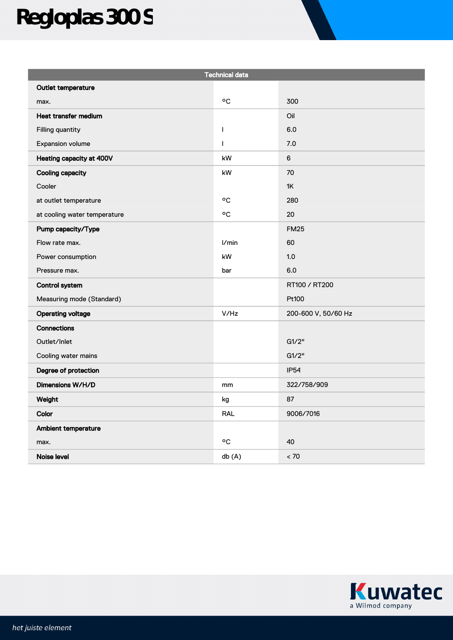# **Regloplas 300 S**

| <b>Technical data</b>        |              |                     |
|------------------------------|--------------|---------------------|
| Outlet temperature           |              |                     |
| max.                         | °C           | 300                 |
| Heat transfer medium         |              | Oil                 |
| Filling quantity             | $\mathbf{I}$ | 6.0                 |
| Expansion volume             | $\mathsf{I}$ | 7.0                 |
| Heating capacity at 400V     | kW           | $\,6\,$             |
| <b>Cooling capacity</b>      | kW           | 70                  |
| Cooler                       |              | 1K                  |
| at outlet temperature        | ٥C           | 280                 |
| at cooling water temperature | °C           | 20                  |
| Pump capacity/Type           |              | <b>FM25</b>         |
| Flow rate max.               | l/min        | 60                  |
| Power consumption            | kW           | 1.0                 |
| Pressure max.                | bar          | 6.0                 |
| <b>Control system</b>        |              | RT100 / RT200       |
| Measuring mode (Standard)    |              | Pt100               |
| <b>Operating voltage</b>     | V/Hz         | 200-600 V, 50/60 Hz |
| Connections                  |              |                     |
| Outlet/Inlet                 |              | G1/2"               |
| Cooling water mains          |              | G1/2"               |
| Degree of protection         |              | <b>IP54</b>         |
| Dimensions W/H/D             | mm           | 322/758/909         |
| Weight                       | kg           | 87                  |
| Color                        | <b>RAL</b>   | 9006/7016           |
| Ambient temperature          |              |                     |
| max.                         | ٥C           | 40                  |
| Noise level                  | db(A)        | < 70                |